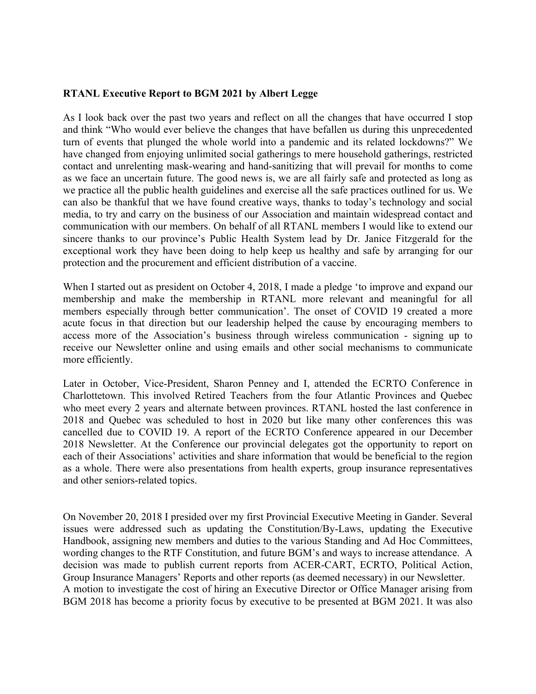## **RTANL Executive Report to BGM 2021 by Albert Legge**

As I look back over the past two years and reflect on all the changes that have occurred I stop and think "Who would ever believe the changes that have befallen us during this unprecedented turn of events that plunged the whole world into a pandemic and its related lockdowns?" We have changed from enjoying unlimited social gatherings to mere household gatherings, restricted contact and unrelenting mask-wearing and hand-sanitizing that will prevail for months to come as we face an uncertain future. The good news is, we are all fairly safe and protected as long as we practice all the public health guidelines and exercise all the safe practices outlined for us. We can also be thankful that we have found creative ways, thanks to today's technology and social media, to try and carry on the business of our Association and maintain widespread contact and communication with our members. On behalf of all RTANL members I would like to extend our sincere thanks to our province's Public Health System lead by Dr. Janice Fitzgerald for the exceptional work they have been doing to help keep us healthy and safe by arranging for our protection and the procurement and efficient distribution of a vaccine.

When I started out as president on October 4, 2018, I made a pledge 'to improve and expand our membership and make the membership in RTANL more relevant and meaningful for all members especially through better communication'. The onset of COVID 19 created a more acute focus in that direction but our leadership helped the cause by encouraging members to access more of the Association's business through wireless communication - signing up to receive our Newsletter online and using emails and other social mechanisms to communicate more efficiently.

Later in October, Vice-President, Sharon Penney and I, attended the ECRTO Conference in Charlottetown. This involved Retired Teachers from the four Atlantic Provinces and Quebec who meet every 2 years and alternate between provinces. RTANL hosted the last conference in 2018 and Quebec was scheduled to host in 2020 but like many other conferences this was cancelled due to COVID 19. A report of the ECRTO Conference appeared in our December 2018 Newsletter. At the Conference our provincial delegates got the opportunity to report on each of their Associations' activities and share information that would be beneficial to the region as a whole. There were also presentations from health experts, group insurance representatives and other seniors-related topics.

On November 20, 2018 I presided over my first Provincial Executive Meeting in Gander. Several issues were addressed such as updating the Constitution/By-Laws, updating the Executive Handbook, assigning new members and duties to the various Standing and Ad Hoc Committees, wording changes to the RTF Constitution, and future BGM's and ways to increase attendance. A decision was made to publish current reports from ACER-CART, ECRTO, Political Action, Group Insurance Managers' Reports and other reports (as deemed necessary) in our Newsletter. A motion to investigate the cost of hiring an Executive Director or Office Manager arising from BGM 2018 has become a priority focus by executive to be presented at BGM 2021. It was also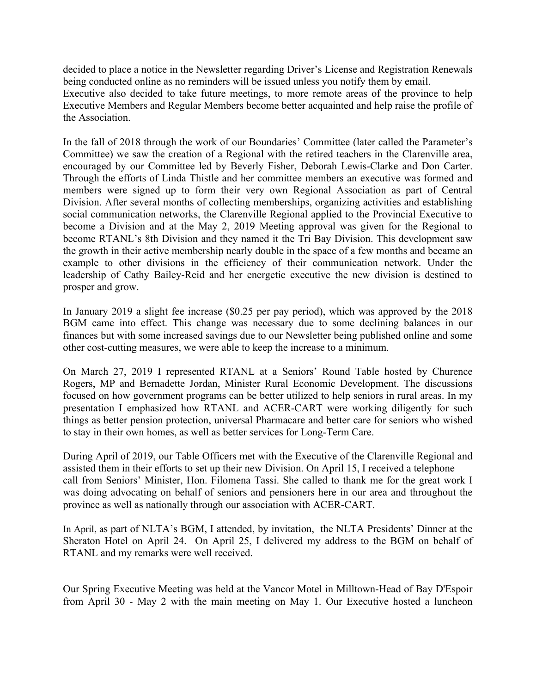decided to place a notice in the Newsletter regarding Driver's License and Registration Renewals being conducted online as no reminders will be issued unless you notify them by email.

Executive also decided to take future meetings, to more remote areas of the province to help Executive Members and Regular Members become better acquainted and help raise the profile of the Association.

In the fall of 2018 through the work of our Boundaries' Committee (later called the Parameter's Committee) we saw the creation of a Regional with the retired teachers in the Clarenville area, encouraged by our Committee led by Beverly Fisher, Deborah Lewis-Clarke and Don Carter. Through the efforts of Linda Thistle and her committee members an executive was formed and members were signed up to form their very own Regional Association as part of Central Division. After several months of collecting memberships, organizing activities and establishing social communication networks, the Clarenville Regional applied to the Provincial Executive to become a Division and at the May 2, 2019 Meeting approval was given for the Regional to become RTANL's 8th Division and they named it the Tri Bay Division. This development saw the growth in their active membership nearly double in the space of a few months and became an example to other divisions in the efficiency of their communication network. Under the leadership of Cathy Bailey-Reid and her energetic executive the new division is destined to prosper and grow.

In January 2019 a slight fee increase (\$0.25 per pay period), which was approved by the 2018 BGM came into effect. This change was necessary due to some declining balances in our finances but with some increased savings due to our Newsletter being published online and some other cost-cutting measures, we were able to keep the increase to a minimum.

On March 27, 2019 I represented RTANL at a Seniors' Round Table hosted by Churence Rogers, MP and Bernadette Jordan, Minister Rural Economic Development. The discussions focused on how government programs can be better utilized to help seniors in rural areas. In my presentation I emphasized how RTANL and ACER-CART were working diligently for such things as better pension protection, universal Pharmacare and better care for seniors who wished to stay in their own homes, as well as better services for Long-Term Care.

During April of 2019, our Table Officers met with the Executive of the Clarenville Regional and assisted them in their efforts to set up their new Division. On April 15, I received a telephone call from Seniors' Minister, Hon. Filomena Tassi. She called to thank me for the great work I was doing advocating on behalf of seniors and pensioners here in our area and throughout the province as well as nationally through our association with ACER-CART.

In April, as part of NLTA's BGM, I attended, by invitation, the NLTA Presidents' Dinner at the Sheraton Hotel on April 24. On April 25, I delivered my address to the BGM on behalf of RTANL and my remarks were well received.

Our Spring Executive Meeting was held at the Vancor Motel in Milltown-Head of Bay D'Espoir from April 30 - May 2 with the main meeting on May 1. Our Executive hosted a luncheon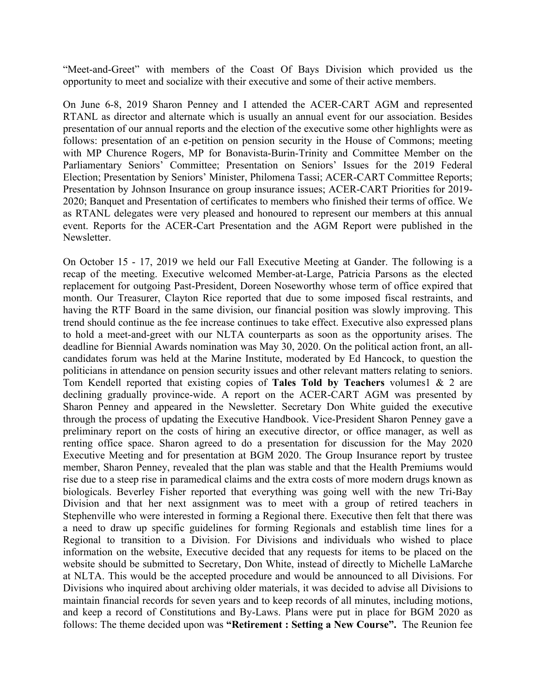"Meet-and-Greet" with members of the Coast Of Bays Division which provided us the opportunity to meet and socialize with their executive and some of their active members.

On June 6-8, 2019 Sharon Penney and I attended the ACER-CART AGM and represented RTANL as director and alternate which is usually an annual event for our association. Besides presentation of our annual reports and the election of the executive some other highlights were as follows: presentation of an e-petition on pension security in the House of Commons; meeting with MP Churence Rogers, MP for Bonavista-Burin-Trinity and Committee Member on the Parliamentary Seniors' Committee; Presentation on Seniors' Issues for the 2019 Federal Election; Presentation by Seniors' Minister, Philomena Tassi; ACER-CART Committee Reports; Presentation by Johnson Insurance on group insurance issues; ACER-CART Priorities for 2019- 2020; Banquet and Presentation of certificates to members who finished their terms of office. We as RTANL delegates were very pleased and honoured to represent our members at this annual event. Reports for the ACER-Cart Presentation and the AGM Report were published in the Newsletter.

On October 15 - 17, 2019 we held our Fall Executive Meeting at Gander. The following is a recap of the meeting. Executive welcomed Member-at-Large, Patricia Parsons as the elected replacement for outgoing Past-President, Doreen Noseworthy whose term of office expired that month. Our Treasurer, Clayton Rice reported that due to some imposed fiscal restraints, and having the RTF Board in the same division, our financial position was slowly improving. This trend should continue as the fee increase continues to take effect. Executive also expressed plans to hold a meet-and-greet with our NLTA counterparts as soon as the opportunity arises. The deadline for Biennial Awards nomination was May 30, 2020. On the political action front, an allcandidates forum was held at the Marine Institute, moderated by Ed Hancock, to question the politicians in attendance on pension security issues and other relevant matters relating to seniors. Tom Kendell reported that existing copies of **Tales Told by Teachers** volumes1 & 2 are declining gradually province-wide. A report on the ACER-CART AGM was presented by Sharon Penney and appeared in the Newsletter. Secretary Don White guided the executive through the process of updating the Executive Handbook. Vice-President Sharon Penney gave a preliminary report on the costs of hiring an executive director, or office manager, as well as renting office space. Sharon agreed to do a presentation for discussion for the May 2020 Executive Meeting and for presentation at BGM 2020. The Group Insurance report by trustee member, Sharon Penney, revealed that the plan was stable and that the Health Premiums would rise due to a steep rise in paramedical claims and the extra costs of more modern drugs known as biologicals. Beverley Fisher reported that everything was going well with the new Tri-Bay Division and that her next assignment was to meet with a group of retired teachers in Stephenville who were interested in forming a Regional there. Executive then felt that there was a need to draw up specific guidelines for forming Regionals and establish time lines for a Regional to transition to a Division. For Divisions and individuals who wished to place information on the website, Executive decided that any requests for items to be placed on the website should be submitted to Secretary, Don White, instead of directly to Michelle LaMarche at NLTA. This would be the accepted procedure and would be announced to all Divisions. For Divisions who inquired about archiving older materials, it was decided to advise all Divisions to maintain financial records for seven years and to keep records of all minutes, including motions, and keep a record of Constitutions and By-Laws. Plans were put in place for BGM 2020 as follows: The theme decided upon was **"Retirement : Setting a New Course".** The Reunion fee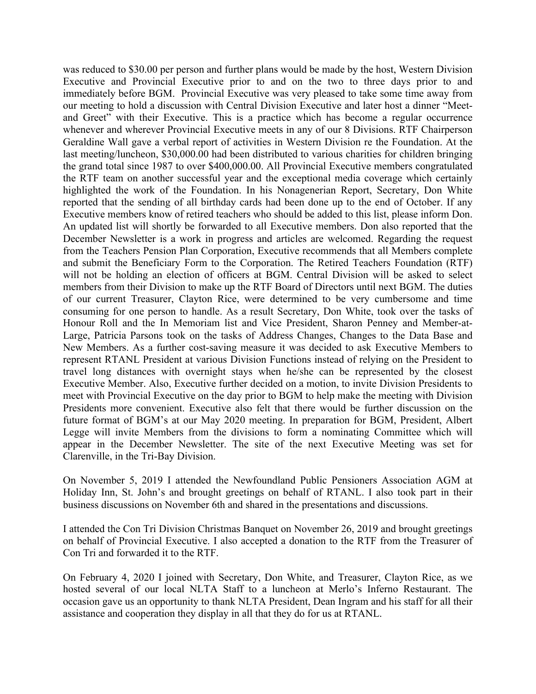was reduced to \$30.00 per person and further plans would be made by the host, Western Division Executive and Provincial Executive prior to and on the two to three days prior to and immediately before BGM. Provincial Executive was very pleased to take some time away from our meeting to hold a discussion with Central Division Executive and later host a dinner "Meetand Greet" with their Executive. This is a practice which has become a regular occurrence whenever and wherever Provincial Executive meets in any of our 8 Divisions. RTF Chairperson Geraldine Wall gave a verbal report of activities in Western Division re the Foundation. At the last meeting/luncheon, \$30,000.00 had been distributed to various charities for children bringing the grand total since 1987 to over \$400,000.00. All Provincial Executive members congratulated the RTF team on another successful year and the exceptional media coverage which certainly highlighted the work of the Foundation. In his Nonagenerian Report, Secretary, Don White reported that the sending of all birthday cards had been done up to the end of October. If any Executive members know of retired teachers who should be added to this list, please inform Don. An updated list will shortly be forwarded to all Executive members. Don also reported that the December Newsletter is a work in progress and articles are welcomed. Regarding the request from the Teachers Pension Plan Corporation, Executive recommends that all Members complete and submit the Beneficiary Form to the Corporation. The Retired Teachers Foundation (RTF) will not be holding an election of officers at BGM. Central Division will be asked to select members from their Division to make up the RTF Board of Directors until next BGM. The duties of our current Treasurer, Clayton Rice, were determined to be very cumbersome and time consuming for one person to handle. As a result Secretary, Don White, took over the tasks of Honour Roll and the In Memoriam list and Vice President, Sharon Penney and Member-at-Large, Patricia Parsons took on the tasks of Address Changes, Changes to the Data Base and New Members. As a further cost-saving measure it was decided to ask Executive Members to represent RTANL President at various Division Functions instead of relying on the President to travel long distances with overnight stays when he/she can be represented by the closest Executive Member. Also, Executive further decided on a motion, to invite Division Presidents to meet with Provincial Executive on the day prior to BGM to help make the meeting with Division Presidents more convenient. Executive also felt that there would be further discussion on the future format of BGM's at our May 2020 meeting. In preparation for BGM, President, Albert Legge will invite Members from the divisions to form a nominating Committee which will appear in the December Newsletter. The site of the next Executive Meeting was set for Clarenville, in the Tri-Bay Division.

On November 5, 2019 I attended the Newfoundland Public Pensioners Association AGM at Holiday Inn, St. John's and brought greetings on behalf of RTANL. I also took part in their business discussions on November 6th and shared in the presentations and discussions.

I attended the Con Tri Division Christmas Banquet on November 26, 2019 and brought greetings on behalf of Provincial Executive. I also accepted a donation to the RTF from the Treasurer of Con Tri and forwarded it to the RTF.

On February 4, 2020 I joined with Secretary, Don White, and Treasurer, Clayton Rice, as we hosted several of our local NLTA Staff to a luncheon at Merlo's Inferno Restaurant. The occasion gave us an opportunity to thank NLTA President, Dean Ingram and his staff for all their assistance and cooperation they display in all that they do for us at RTANL.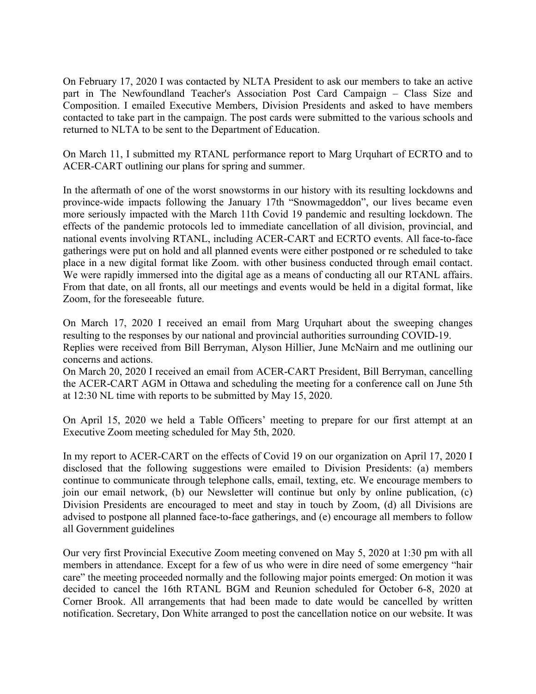On February 17, 2020 I was contacted by NLTA President to ask our members to take an active part in The Newfoundland Teacher's Association Post Card Campaign – Class Size and Composition. I emailed Executive Members, Division Presidents and asked to have members contacted to take part in the campaign. The post cards were submitted to the various schools and returned to NLTA to be sent to the Department of Education.

On March 11, I submitted my RTANL performance report to Marg Urquhart of ECRTO and to ACER-CART outlining our plans for spring and summer.

In the aftermath of one of the worst snowstorms in our history with its resulting lockdowns and province-wide impacts following the January 17th "Snowmageddon", our lives became even more seriously impacted with the March 11th Covid 19 pandemic and resulting lockdown. The effects of the pandemic protocols led to immediate cancellation of all division, provincial, and national events involving RTANL, including ACER-CART and ECRTO events. All face-to-face gatherings were put on hold and all planned events were either postponed or re scheduled to take place in a new digital format like Zoom. with other business conducted through email contact. We were rapidly immersed into the digital age as a means of conducting all our RTANL affairs. From that date, on all fronts, all our meetings and events would be held in a digital format, like Zoom, for the foreseeable future.

On March 17, 2020 I received an email from Marg Urquhart about the sweeping changes resulting to the responses by our national and provincial authorities surrounding COVID-19. Replies were received from Bill Berryman, Alyson Hillier, June McNairn and me outlining our concerns and actions.

On March 20, 2020 I received an email from ACER-CART President, Bill Berryman, cancelling the ACER-CART AGM in Ottawa and scheduling the meeting for a conference call on June 5th at 12:30 NL time with reports to be submitted by May 15, 2020.

On April 15, 2020 we held a Table Officers' meeting to prepare for our first attempt at an Executive Zoom meeting scheduled for May 5th, 2020.

In my report to ACER-CART on the effects of Covid 19 on our organization on April 17, 2020 I disclosed that the following suggestions were emailed to Division Presidents: (a) members continue to communicate through telephone calls, email, texting, etc. We encourage members to join our email network, (b) our Newsletter will continue but only by online publication, (c) Division Presidents are encouraged to meet and stay in touch by Zoom, (d) all Divisions are advised to postpone all planned face-to-face gatherings, and (e) encourage all members to follow all Government guidelines

Our very first Provincial Executive Zoom meeting convened on May 5, 2020 at 1:30 pm with all members in attendance. Except for a few of us who were in dire need of some emergency "hair care" the meeting proceeded normally and the following major points emerged: On motion it was decided to cancel the 16th RTANL BGM and Reunion scheduled for October 6-8, 2020 at Corner Brook. All arrangements that had been made to date would be cancelled by written notification. Secretary, Don White arranged to post the cancellation notice on our website. It was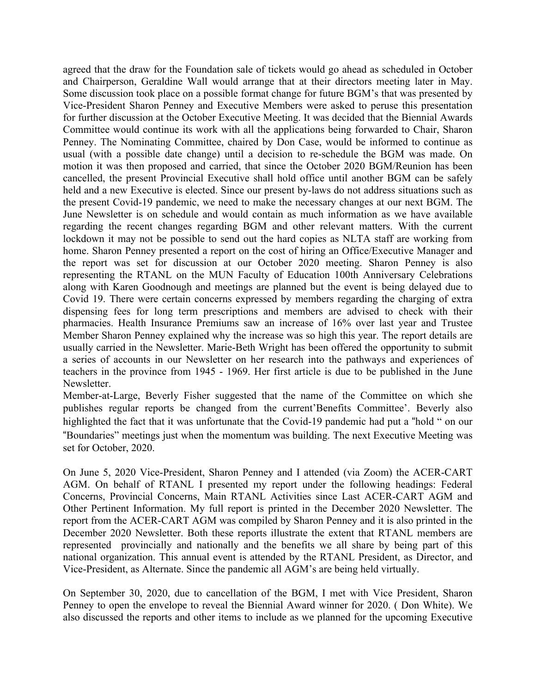agreed that the draw for the Foundation sale of tickets would go ahead as scheduled in October and Chairperson, Geraldine Wall would arrange that at their directors meeting later in May. Some discussion took place on a possible format change for future BGM's that was presented by Vice-President Sharon Penney and Executive Members were asked to peruse this presentation for further discussion at the October Executive Meeting. It was decided that the Biennial Awards Committee would continue its work with all the applications being forwarded to Chair, Sharon Penney. The Nominating Committee, chaired by Don Case, would be informed to continue as usual (with a possible date change) until a decision to re-schedule the BGM was made. On motion it was then proposed and carried, that since the October 2020 BGM/Reunion has been cancelled, the present Provincial Executive shall hold office until another BGM can be safely held and a new Executive is elected. Since our present by-laws do not address situations such as the present Covid-19 pandemic, we need to make the necessary changes at our next BGM. The June Newsletter is on schedule and would contain as much information as we have available regarding the recent changes regarding BGM and other relevant matters. With the current lockdown it may not be possible to send out the hard copies as NLTA staff are working from home. Sharon Penney presented a report on the cost of hiring an Office/Executive Manager and the report was set for discussion at our October 2020 meeting. Sharon Penney is also representing the RTANL on the MUN Faculty of Education 100th Anniversary Celebrations along with Karen Goodnough and meetings are planned but the event is being delayed due to Covid 19. There were certain concerns expressed by members regarding the charging of extra dispensing fees for long term prescriptions and members are advised to check with their pharmacies. Health Insurance Premiums saw an increase of 16% over last year and Trustee Member Sharon Penney explained why the increase was so high this year. The report details are usually carried in the Newsletter. Marie-Beth Wright has been offered the opportunity to submit a series of accounts in our Newsletter on her research into the pathways and experiences of teachers in the province from 1945 - 1969. Her first article is due to be published in the June Newsletter.

Member-at-Large, Beverly Fisher suggested that the name of the Committee on which she publishes regular reports be changed from the current'Benefits Committee'. Beverly also highlighted the fact that it was unfortunate that the Covid-19 pandemic had put a "hold " on our "Boundaries" meetings just when the momentum was building. The next Executive Meeting was set for October, 2020.

On June 5, 2020 Vice-President, Sharon Penney and I attended (via Zoom) the ACER-CART AGM. On behalf of RTANL I presented my report under the following headings: Federal Concerns, Provincial Concerns, Main RTANL Activities since Last ACER-CART AGM and Other Pertinent Information. My full report is printed in the December 2020 Newsletter. The report from the ACER-CART AGM was compiled by Sharon Penney and it is also printed in the December 2020 Newsletter. Both these reports illustrate the extent that RTANL members are represented provincially and nationally and the benefits we all share by being part of this national organization. This annual event is attended by the RTANL President, as Director, and Vice-President, as Alternate. Since the pandemic all AGM's are being held virtually.

On September 30, 2020, due to cancellation of the BGM, I met with Vice President, Sharon Penney to open the envelope to reveal the Biennial Award winner for 2020. ( Don White). We also discussed the reports and other items to include as we planned for the upcoming Executive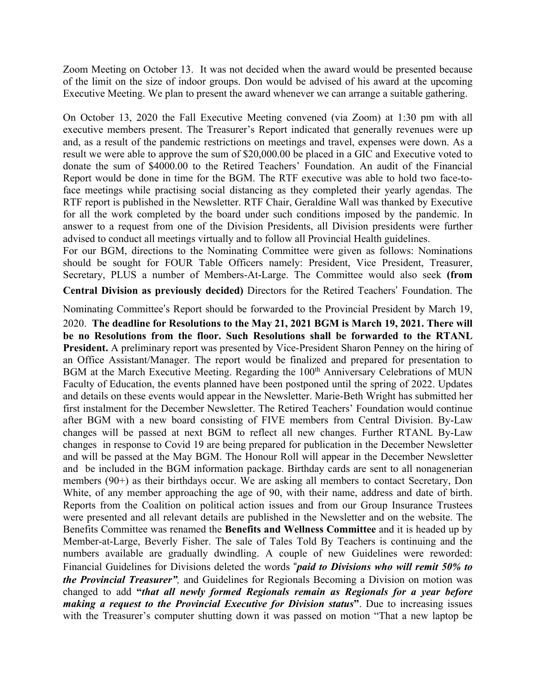Zoom Meeting on October 13. It was not decided when the award would be presented because of the limit on the size of indoor groups. Don would be advised of his award at the upcoming Executive Meeting. We plan to present the award whenever we can arrange a suitable gathering.

On October 13, 2020 the Fall Executive Meeting convened (via Zoom) at 1:30 pm with all executive members present. The Treasurer's Report indicated that generally revenues were up and, as a result of the pandemic restrictions on meetings and travel, expenses were down. As a result we were able to approve the sum of \$20,000.00 be placed in a GIC and Executive voted to donate the sum of \$4000.00 to the Retired Teachers' Foundation. An audit of the Financial Report would be done in time for the BGM. The RTF executive was able to hold two face-toface meetings while practising social distancing as they completed their yearly agendas. The RTF report is published in the Newsletter. RTF Chair, Geraldine Wall was thanked by Executive for all the work completed by the board under such conditions imposed by the pandemic. In answer to a request from one of the Division Presidents, all Division presidents were further advised to conduct all meetings virtually and to follow all Provincial Health guidelines.

For our BGM, directions to the Nominating Committee were given as follows: Nominations should be sought for FOUR Table Officers namely: President, Vice President, Treasurer, Secretary, PLUS a number of Members-At-Large. The Committee would also seek **(from** 

**Central Division as previously decided)** Directors for the Retired Teachers' Foundation. The

Nominating Committee's Report should be forwarded to the Provincial President by March 19,

2020. **The deadline for Resolutions to the May 21, 2021 BGM is March 19, 2021. There will be no Resolutions from the floor. Such Resolutions shall be forwarded to the RTANL President.** A preliminary report was presented by Vice-President Sharon Penney on the hiring of an Office Assistant/Manager. The report would be finalized and prepared for presentation to BGM at the March Executive Meeting. Regarding the 100<sup>th</sup> Anniversary Celebrations of MUN Faculty of Education, the events planned have been postponed until the spring of 2022. Updates and details on these events would appear in the Newsletter. Marie-Beth Wright has submitted her first instalment for the December Newsletter. The Retired Teachers' Foundation would continue after BGM with a new board consisting of FIVE members from Central Division. By-Law changes will be passed at next BGM to reflect all new changes. Further RTANL By-Law changes in response to Covid 19 are being prepared for publication in the December Newsletter and will be passed at the May BGM. The Honour Roll will appear in the December Newsletter and be included in the BGM information package. Birthday cards are sent to all nonagenerian members (90+) as their birthdays occur. We are asking all members to contact Secretary, Don White, of any member approaching the age of 90, with their name, address and date of birth. Reports from the Coalition on political action issues and from our Group Insurance Trustees were presented and all relevant details are published in the Newsletter and on the website. The Benefits Committee was renamed the **Benefits and Wellness Committee** and it is headed up by Member-at-Large, Beverly Fisher. The sale of Tales Told By Teachers is continuing and the numbers available are gradually dwindling. A couple of new Guidelines were reworded: Financial Guidelines for Divisions deleted the words "*paid to Divisions who will remit 50% to the Provincial Treasurer",* and Guidelines for Regionals Becoming a Division on motion was changed to add **"***that all newly formed Regionals remain as Regionals for a year before making a request to the Provincial Executive for Division status***"**. Due to increasing issues with the Treasurer's computer shutting down it was passed on motion "That a new laptop be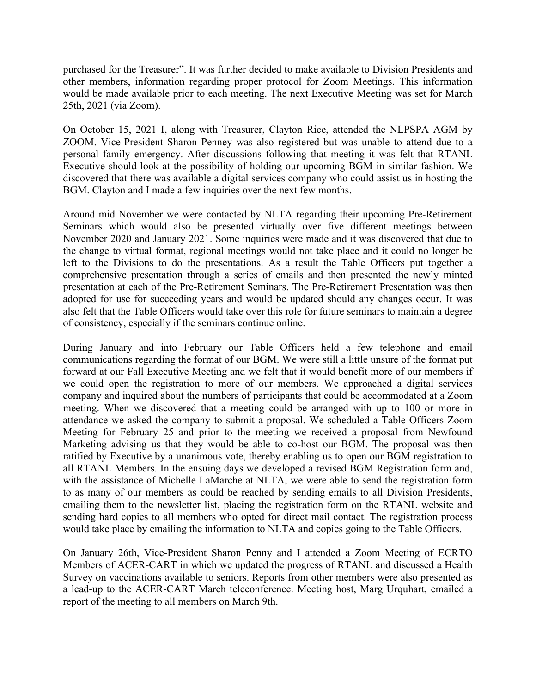purchased for the Treasurer". It was further decided to make available to Division Presidents and other members, information regarding proper protocol for Zoom Meetings. This information would be made available prior to each meeting. The next Executive Meeting was set for March 25th, 2021 (via Zoom).

On October 15, 2021 I, along with Treasurer, Clayton Rice, attended the NLPSPA AGM by ZOOM. Vice-President Sharon Penney was also registered but was unable to attend due to a personal family emergency. After discussions following that meeting it was felt that RTANL Executive should look at the possibility of holding our upcoming BGM in similar fashion. We discovered that there was available a digital services company who could assist us in hosting the BGM. Clayton and I made a few inquiries over the next few months.

Around mid November we were contacted by NLTA regarding their upcoming Pre-Retirement Seminars which would also be presented virtually over five different meetings between November 2020 and January 2021. Some inquiries were made and it was discovered that due to the change to virtual format, regional meetings would not take place and it could no longer be left to the Divisions to do the presentations. As a result the Table Officers put together a comprehensive presentation through a series of emails and then presented the newly minted presentation at each of the Pre-Retirement Seminars. The Pre-Retirement Presentation was then adopted for use for succeeding years and would be updated should any changes occur. It was also felt that the Table Officers would take over this role for future seminars to maintain a degree of consistency, especially if the seminars continue online.

During January and into February our Table Officers held a few telephone and email communications regarding the format of our BGM. We were still a little unsure of the format put forward at our Fall Executive Meeting and we felt that it would benefit more of our members if we could open the registration to more of our members. We approached a digital services company and inquired about the numbers of participants that could be accommodated at a Zoom meeting. When we discovered that a meeting could be arranged with up to 100 or more in attendance we asked the company to submit a proposal. We scheduled a Table Officers Zoom Meeting for February 25 and prior to the meeting we received a proposal from Newfound Marketing advising us that they would be able to co-host our BGM. The proposal was then ratified by Executive by a unanimous vote, thereby enabling us to open our BGM registration to all RTANL Members. In the ensuing days we developed a revised BGM Registration form and, with the assistance of Michelle LaMarche at NLTA, we were able to send the registration form to as many of our members as could be reached by sending emails to all Division Presidents, emailing them to the newsletter list, placing the registration form on the RTANL website and sending hard copies to all members who opted for direct mail contact. The registration process would take place by emailing the information to NLTA and copies going to the Table Officers.

On January 26th, Vice-President Sharon Penny and I attended a Zoom Meeting of ECRTO Members of ACER-CART in which we updated the progress of RTANL and discussed a Health Survey on vaccinations available to seniors. Reports from other members were also presented as a lead-up to the ACER-CART March teleconference. Meeting host, Marg Urquhart, emailed a report of the meeting to all members on March 9th.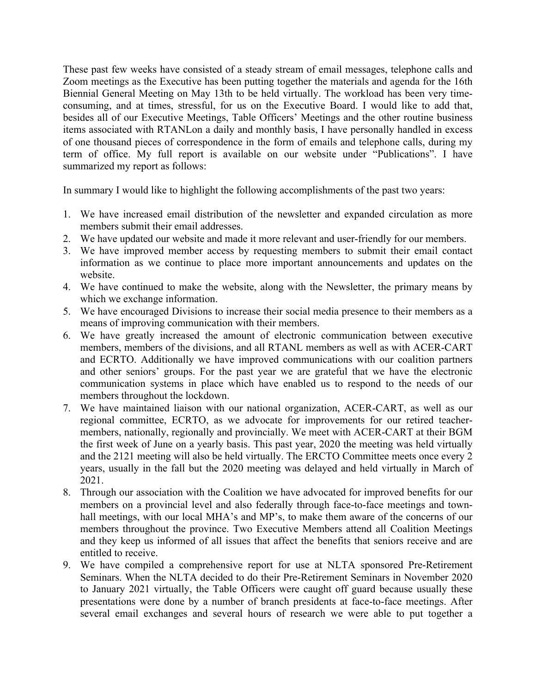These past few weeks have consisted of a steady stream of email messages, telephone calls and Zoom meetings as the Executive has been putting together the materials and agenda for the 16th Biennial General Meeting on May 13th to be held virtually. The workload has been very timeconsuming, and at times, stressful, for us on the Executive Board. I would like to add that, besides all of our Executive Meetings, Table Officers' Meetings and the other routine business items associated with RTANLon a daily and monthly basis, I have personally handled in excess of one thousand pieces of correspondence in the form of emails and telephone calls, during my term of office. My full report is available on our website under "Publications". I have summarized my report as follows:

In summary I would like to highlight the following accomplishments of the past two years:

- 1. We have increased email distribution of the newsletter and expanded circulation as more members submit their email addresses.
- 2. We have updated our website and made it more relevant and user-friendly for our members.
- 3. We have improved member access by requesting members to submit their email contact information as we continue to place more important announcements and updates on the website.
- 4. We have continued to make the website, along with the Newsletter, the primary means by which we exchange information.
- 5. We have encouraged Divisions to increase their social media presence to their members as a means of improving communication with their members.
- 6. We have greatly increased the amount of electronic communication between executive members, members of the divisions, and all RTANL members as well as with ACER-CART and ECRTO. Additionally we have improved communications with our coalition partners and other seniors' groups. For the past year we are grateful that we have the electronic communication systems in place which have enabled us to respond to the needs of our members throughout the lockdown.
- 7. We have maintained liaison with our national organization, ACER-CART, as well as our regional committee, ECRTO, as we advocate for improvements for our retired teachermembers, nationally, regionally and provincially. We meet with ACER-CART at their BGM the first week of June on a yearly basis. This past year, 2020 the meeting was held virtually and the 2121 meeting will also be held virtually. The ERCTO Committee meets once every 2 years, usually in the fall but the 2020 meeting was delayed and held virtually in March of 2021.
- 8. Through our association with the Coalition we have advocated for improved benefits for our members on a provincial level and also federally through face-to-face meetings and townhall meetings, with our local MHA's and MP's, to make them aware of the concerns of our members throughout the province. Two Executive Members attend all Coalition Meetings and they keep us informed of all issues that affect the benefits that seniors receive and are entitled to receive.
- 9. We have compiled a comprehensive report for use at NLTA sponsored Pre-Retirement Seminars. When the NLTA decided to do their Pre-Retirement Seminars in November 2020 to January 2021 virtually, the Table Officers were caught off guard because usually these presentations were done by a number of branch presidents at face-to-face meetings. After several email exchanges and several hours of research we were able to put together a